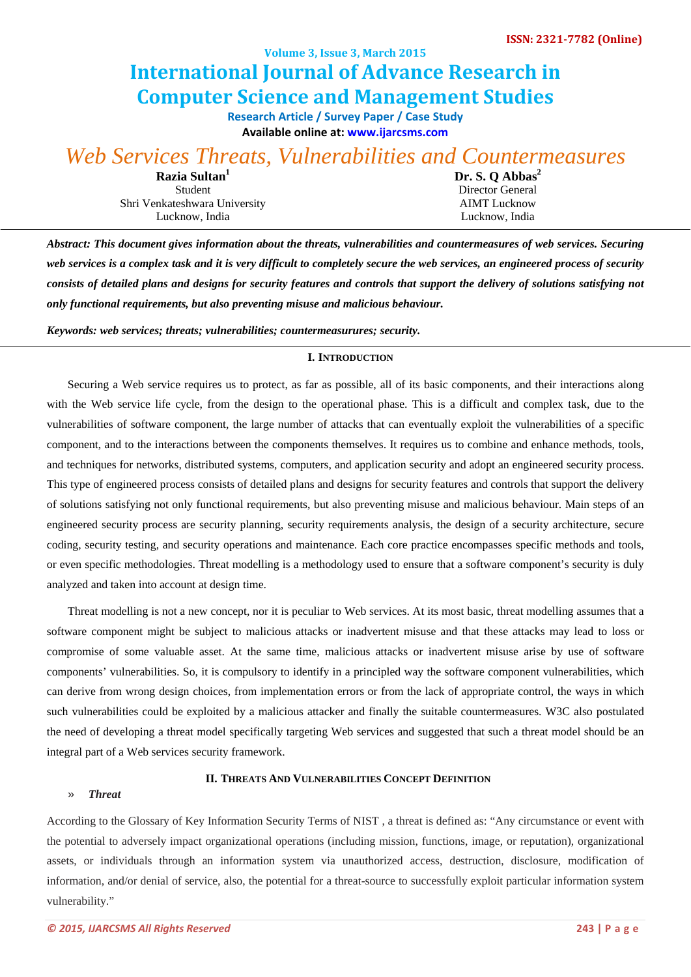#### **Volume 3, Issue 3, March 2015**

# **Computer Science and Management Studies International Journal of Advance Research in**

**Research Article / Survey Paper / Case St[ud](http://www.ijarcsms.com/)y**

**Available online at: [www.ijarcsms.com](http://www.ijarcsms.com/)**

# *Web Services Threats, Vulnerabilities and Countermeasures*

| Razia Sultan <sup>1</sup>     | Dr. S. Q $Abbas2$   |
|-------------------------------|---------------------|
| <b>Student</b>                | Director General    |
| Shri Venkateshwara University | <b>AIMT</b> Lucknow |
| Lucknow, India                | Lucknow, India      |

*Abstract: This document gives information about the threats, vulnerabilities and countermeasures of web services. Securing web services is a complex task and it is very difficult to completely secure the web services, an engineered process of security consists of detailed plans and designs for security features and controls that support the delivery of solutions satisfying not only functional requirements, but also preventing misuse and malicious behaviour.* 

*Keywords: web services; threats; vulnerabilities; countermeasurures; security.* 

## **I. INTRODUCTION**

Securing a Web service requires us to protect, as far as possible, all of its basic components, and their interactions along with the Web service life cycle, from the design to the operational phase. This is a difficult and complex task, due to the vulnerabilities of software component, the large number of attacks that can eventually exploit the vulnerabilities of a specific component, and to the interactions between the components themselves. It requires us to combine and enhance methods, tools, and techniques for networks, distributed systems, computers, and application security and adopt an engineered security process. This type of engineered process consists of detailed plans and designs for security features and controls that support the delivery of solutions satisfying not only functional requirements, but also preventing misuse and malicious behaviour. Main steps of an engineered security process are security planning, security requirements analysis, the design of a security architecture, secure coding, security testing, and security operations and maintenance. Each core practice encompasses specific methods and tools, or even specific methodologies. Threat modelling is a methodology used to ensure that a software component's security is duly analyzed and taken into account at design time.

Threat modelling is not a new concept, nor it is peculiar to Web services. At its most basic, threat modelling assumes that a software component might be subject to malicious attacks or inadvertent misuse and that these attacks may lead to loss or compromise of some valuable asset. At the same time, malicious attacks or inadvertent misuse arise by use of software components' vulnerabilities. So, it is compulsory to identify in a principled way the software component vulnerabilities, which can derive from wrong design choices, from implementation errors or from the lack of appropriate control, the ways in which such vulnerabilities could be exploited by a malicious attacker and finally the suitable countermeasures. W3C also postulated the need of developing a threat model specifically targeting Web services and suggested that such a threat model should be an integral part of a Web services security framework.

## » *Threat*

# **II. THREATS AND VULNERABILITIES CONCEPT DEFINITION**

According to the Glossary of Key Information Security Terms of NIST , a threat is defined as: "Any circumstance or event with the potential to adversely impact organizational operations (including mission, functions, image, or reputation), organizational assets, or individuals through an information system via unauthorized access, destruction, disclosure, modification of information, and/or denial of service, also, the potential for a threat-source to successfully exploit particular information system vulnerability."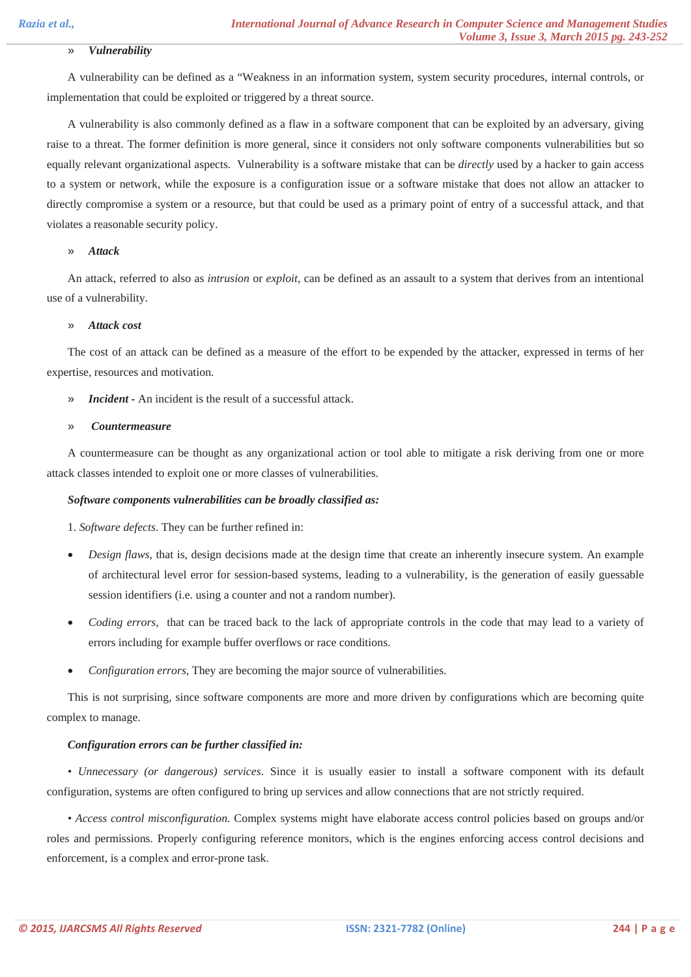## » *Vulnerability*

A vulnerability can be defined as a "Weakness in an information system, system security procedures, internal controls, or implementation that could be exploited or triggered by a threat source.

A vulnerability is also commonly defined as a flaw in a software component that can be exploited by an adversary, giving raise to a threat. The former definition is more general, since it considers not only software components vulnerabilities but so equally relevant organizational aspects. Vulnerability is a software mistake that can be *directly* used by a hacker to gain access to a system or network, while the exposure is a configuration issue or a software mistake that does not allow an attacker to directly compromise a system or a resource, but that could be used as a primary point of entry of a successful attack, and that violates a reasonable security policy.

# » *Attack*

An attack, referred to also as *intrusion* or *exploit*, can be defined as an assault to a system that derives from an intentional use of a vulnerability.

# » *Attack cost*

The cost of an attack can be defined as a measure of the effort to be expended by the attacker, expressed in terms of her expertise, resources and motivation.

» *Incident -* An incident is the result of a successful attack.

## » *Countermeasure*

A countermeasure can be thought as any organizational action or tool able to mitigate a risk deriving from one or more attack classes intended to exploit one or more classes of vulnerabilities.

## *Software components vulnerabilities can be broadly classified as:*

1. *Software defects*. They can be further refined in:

- *Design flaws*, that is, design decisions made at the design time that create an inherently insecure system. An example of architectural level error for session-based systems, leading to a vulnerability, is the generation of easily guessable session identifiers (i.e. using a counter and not a random number).
- *Coding errors,* that can be traced back to the lack of appropriate controls in the code that may lead to a variety of errors including for example buffer overflows or race conditions.
- *Configuration errors,* They are becoming the major source of vulnerabilities.

This is not surprising, since software components are more and more driven by configurations which are becoming quite complex to manage.

# *Configuration errors can be further classified in:*

*• Unnecessary (or dangerous) services*. Since it is usually easier to install a software component with its default configuration, systems are often configured to bring up services and allow connections that are not strictly required.

*• Access control misconfiguration*. Complex systems might have elaborate access control policies based on groups and/or roles and permissions. Properly configuring reference monitors, which is the engines enforcing access control decisions and enforcement, is a complex and error-prone task.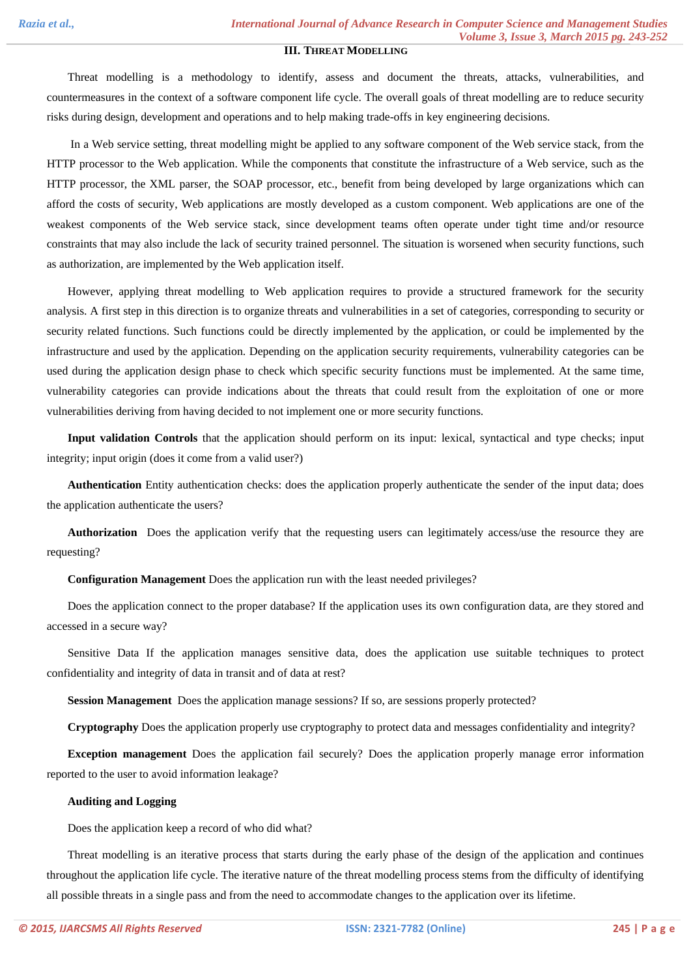# **III. THREAT MODELLING**

Threat modelling is a methodology to identify, assess and document the threats, attacks, vulnerabilities, and countermeasures in the context of a software component life cycle. The overall goals of threat modelling are to reduce security risks during design, development and operations and to help making trade-offs in key engineering decisions.

 In a Web service setting, threat modelling might be applied to any software component of the Web service stack, from the HTTP processor to the Web application. While the components that constitute the infrastructure of a Web service, such as the HTTP processor, the XML parser, the SOAP processor, etc., benefit from being developed by large organizations which can afford the costs of security, Web applications are mostly developed as a custom component. Web applications are one of the weakest components of the Web service stack, since development teams often operate under tight time and/or resource constraints that may also include the lack of security trained personnel. The situation is worsened when security functions, such as authorization, are implemented by the Web application itself.

However, applying threat modelling to Web application requires to provide a structured framework for the security analysis. A first step in this direction is to organize threats and vulnerabilities in a set of categories, corresponding to security or security related functions. Such functions could be directly implemented by the application, or could be implemented by the infrastructure and used by the application. Depending on the application security requirements, vulnerability categories can be used during the application design phase to check which specific security functions must be implemented. At the same time, vulnerability categories can provide indications about the threats that could result from the exploitation of one or more vulnerabilities deriving from having decided to not implement one or more security functions.

**Input validation Controls** that the application should perform on its input: lexical, syntactical and type checks; input integrity; input origin (does it come from a valid user?)

**Authentication** Entity authentication checks: does the application properly authenticate the sender of the input data; does the application authenticate the users?

**Authorization** Does the application verify that the requesting users can legitimately access/use the resource they are requesting?

**Configuration Management** Does the application run with the least needed privileges?

Does the application connect to the proper database? If the application uses its own configuration data, are they stored and accessed in a secure way?

Sensitive Data If the application manages sensitive data, does the application use suitable techniques to protect confidentiality and integrity of data in transit and of data at rest?

**Session Management** Does the application manage sessions? If so, are sessions properly protected?

**Cryptography** Does the application properly use cryptography to protect data and messages confidentiality and integrity?

**Exception management** Does the application fail securely? Does the application properly manage error information reported to the user to avoid information leakage?

#### **Auditing and Logging**

Does the application keep a record of who did what?

Threat modelling is an iterative process that starts during the early phase of the design of the application and continues throughout the application life cycle. The iterative nature of the threat modelling process stems from the difficulty of identifying all possible threats in a single pass and from the need to accommodate changes to the application over its lifetime.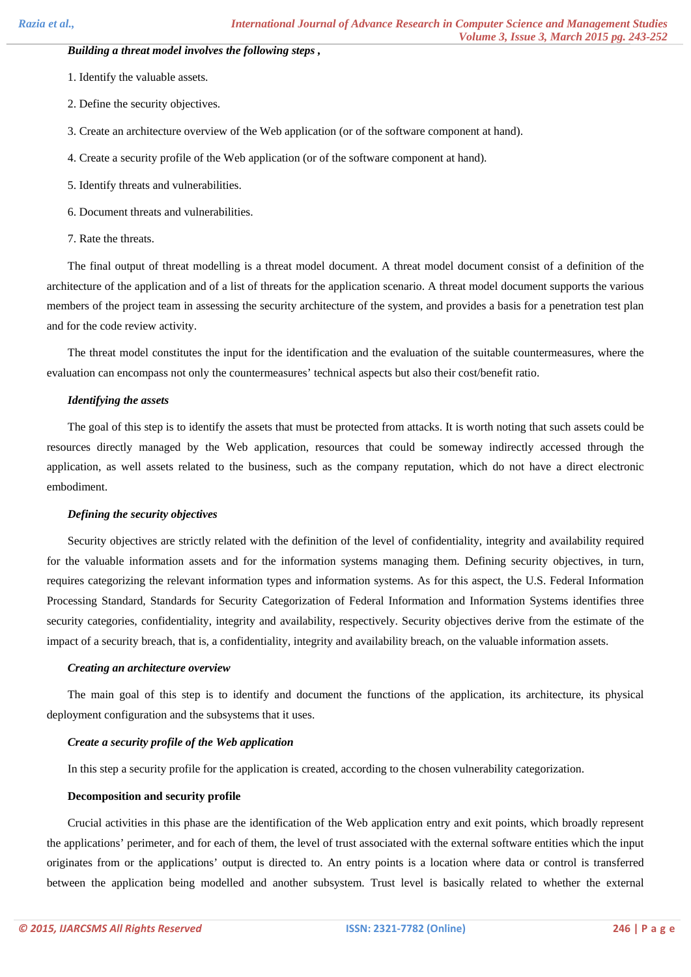# *Building a threat model involves the following steps ,*

- 1. Identify the valuable assets.
- 2. Define the security objectives.
- 3. Create an architecture overview of the Web application (or of the software component at hand).
- 4. Create a security profile of the Web application (or of the software component at hand).
- 5. Identify threats and vulnerabilities.
- 6. Document threats and vulnerabilities.
- 7. Rate the threats.

The final output of threat modelling is a threat model document. A threat model document consist of a definition of the architecture of the application and of a list of threats for the application scenario. A threat model document supports the various members of the project team in assessing the security architecture of the system, and provides a basis for a penetration test plan and for the code review activity.

The threat model constitutes the input for the identification and the evaluation of the suitable countermeasures, where the evaluation can encompass not only the countermeasures' technical aspects but also their cost/benefit ratio.

#### *Identifying the assets*

The goal of this step is to identify the assets that must be protected from attacks. It is worth noting that such assets could be resources directly managed by the Web application, resources that could be someway indirectly accessed through the application, as well assets related to the business, such as the company reputation, which do not have a direct electronic embodiment.

#### *Defining the security objectives*

Security objectives are strictly related with the definition of the level of confidentiality, integrity and availability required for the valuable information assets and for the information systems managing them. Defining security objectives, in turn, requires categorizing the relevant information types and information systems. As for this aspect, the U.S. Federal Information Processing Standard, Standards for Security Categorization of Federal Information and Information Systems identifies three security categories, confidentiality, integrity and availability, respectively. Security objectives derive from the estimate of the impact of a security breach, that is, a confidentiality, integrity and availability breach, on the valuable information assets.

#### *Creating an architecture overview*

The main goal of this step is to identify and document the functions of the application, its architecture, its physical deployment configuration and the subsystems that it uses.

#### *Create a security profile of the Web application*

In this step a security profile for the application is created, according to the chosen vulnerability categorization.

## **Decomposition and security profile**

Crucial activities in this phase are the identification of the Web application entry and exit points, which broadly represent the applications' perimeter, and for each of them, the level of trust associated with the external software entities which the input originates from or the applications' output is directed to. An entry points is a location where data or control is transferred between the application being modelled and another subsystem. Trust level is basically related to whether the external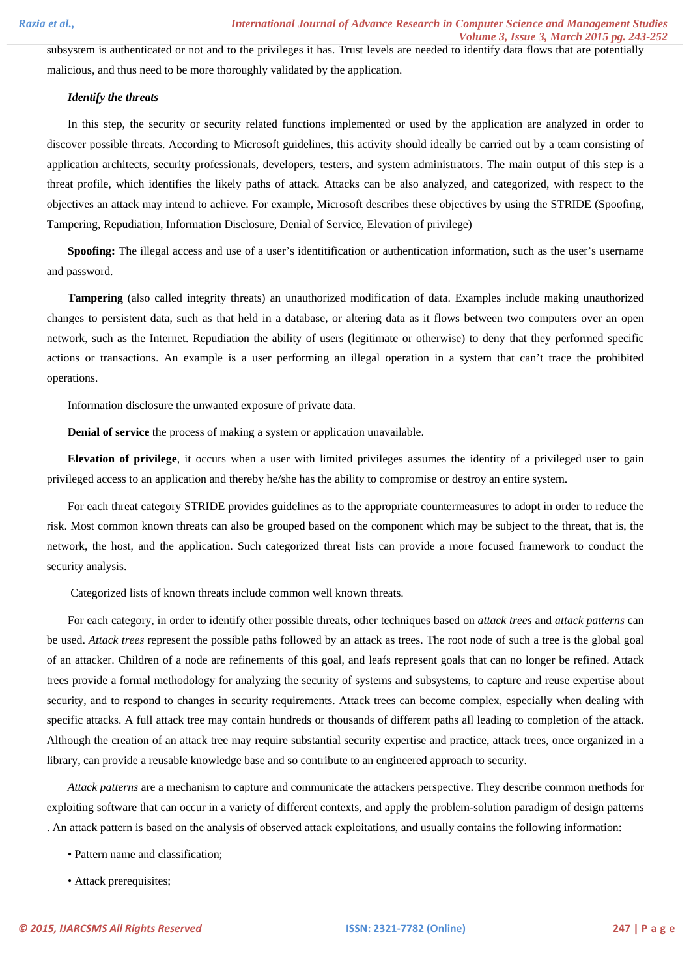subsystem is authenticated or not and to the privileges it has. Trust levels are needed to identify data flows that are potentially malicious, and thus need to be more thoroughly validated by the application.

## *Identify the threats*

In this step, the security or security related functions implemented or used by the application are analyzed in order to discover possible threats. According to Microsoft guidelines, this activity should ideally be carried out by a team consisting of application architects, security professionals, developers, testers, and system administrators. The main output of this step is a threat profile, which identifies the likely paths of attack. Attacks can be also analyzed, and categorized, with respect to the objectives an attack may intend to achieve. For example, Microsoft describes these objectives by using the STRIDE (Spoofing, Tampering, Repudiation, Information Disclosure, Denial of Service, Elevation of privilege)

**Spoofing:** The illegal access and use of a user's identitification or authentication information, such as the user's username and password.

**Tampering** (also called integrity threats) an unauthorized modification of data. Examples include making unauthorized changes to persistent data, such as that held in a database, or altering data as it flows between two computers over an open network, such as the Internet. Repudiation the ability of users (legitimate or otherwise) to deny that they performed specific actions or transactions. An example is a user performing an illegal operation in a system that can't trace the prohibited operations.

Information disclosure the unwanted exposure of private data.

**Denial of service** the process of making a system or application unavailable.

**Elevation of privilege**, it occurs when a user with limited privileges assumes the identity of a privileged user to gain privileged access to an application and thereby he/she has the ability to compromise or destroy an entire system.

For each threat category STRIDE provides guidelines as to the appropriate countermeasures to adopt in order to reduce the risk. Most common known threats can also be grouped based on the component which may be subject to the threat, that is, the network, the host, and the application. Such categorized threat lists can provide a more focused framework to conduct the security analysis.

Categorized lists of known threats include common well known threats.

For each category, in order to identify other possible threats, other techniques based on *attack trees* and *attack patterns* can be used. *Attack trees* represent the possible paths followed by an attack as trees. The root node of such a tree is the global goal of an attacker. Children of a node are refinements of this goal, and leafs represent goals that can no longer be refined. Attack trees provide a formal methodology for analyzing the security of systems and subsystems, to capture and reuse expertise about security, and to respond to changes in security requirements. Attack trees can become complex, especially when dealing with specific attacks. A full attack tree may contain hundreds or thousands of different paths all leading to completion of the attack. Although the creation of an attack tree may require substantial security expertise and practice, attack trees, once organized in a library, can provide a reusable knowledge base and so contribute to an engineered approach to security.

*Attack patterns* are a mechanism to capture and communicate the attackers perspective. They describe common methods for exploiting software that can occur in a variety of different contexts, and apply the problem-solution paradigm of design patterns . An attack pattern is based on the analysis of observed attack exploitations, and usually contains the following information:

*•* Pattern name and classification;

*•* Attack prerequisites;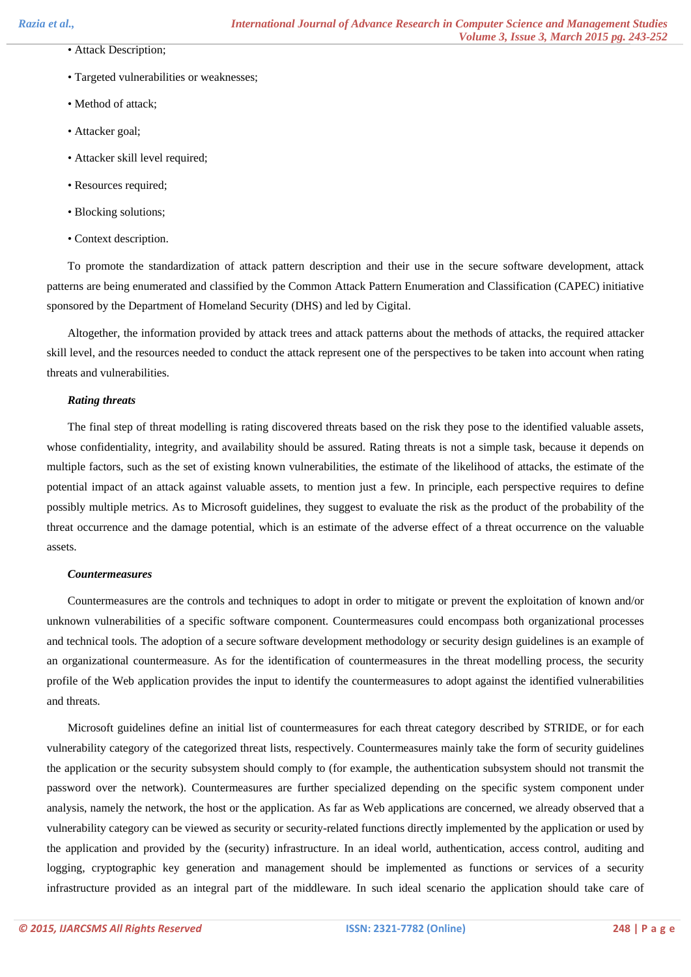- Attack Description;
- Targeted vulnerabilities or weaknesses;
- Method of attack;
- Attacker goal;
- Attacker skill level required;
- Resources required;
- Blocking solutions;
- Context description.

To promote the standardization of attack pattern description and their use in the secure software development, attack patterns are being enumerated and classified by the Common Attack Pattern Enumeration and Classification (CAPEC) initiative sponsored by the Department of Homeland Security (DHS) and led by Cigital.

Altogether, the information provided by attack trees and attack patterns about the methods of attacks, the required attacker skill level, and the resources needed to conduct the attack represent one of the perspectives to be taken into account when rating threats and vulnerabilities.

#### *Rating threats*

The final step of threat modelling is rating discovered threats based on the risk they pose to the identified valuable assets, whose confidentiality, integrity, and availability should be assured. Rating threats is not a simple task, because it depends on multiple factors, such as the set of existing known vulnerabilities, the estimate of the likelihood of attacks, the estimate of the potential impact of an attack against valuable assets, to mention just a few. In principle, each perspective requires to define possibly multiple metrics. As to Microsoft guidelines, they suggest to evaluate the risk as the product of the probability of the threat occurrence and the damage potential, which is an estimate of the adverse effect of a threat occurrence on the valuable assets.

#### *Countermeasures*

Countermeasures are the controls and techniques to adopt in order to mitigate or prevent the exploitation of known and/or unknown vulnerabilities of a specific software component. Countermeasures could encompass both organizational processes and technical tools. The adoption of a secure software development methodology or security design guidelines is an example of an organizational countermeasure. As for the identification of countermeasures in the threat modelling process, the security profile of the Web application provides the input to identify the countermeasures to adopt against the identified vulnerabilities and threats.

Microsoft guidelines define an initial list of countermeasures for each threat category described by STRIDE, or for each vulnerability category of the categorized threat lists, respectively. Countermeasures mainly take the form of security guidelines the application or the security subsystem should comply to (for example, the authentication subsystem should not transmit the password over the network). Countermeasures are further specialized depending on the specific system component under analysis, namely the network, the host or the application. As far as Web applications are concerned, we already observed that a vulnerability category can be viewed as security or security-related functions directly implemented by the application or used by the application and provided by the (security) infrastructure. In an ideal world, authentication, access control, auditing and logging, cryptographic key generation and management should be implemented as functions or services of a security infrastructure provided as an integral part of the middleware. In such ideal scenario the application should take care of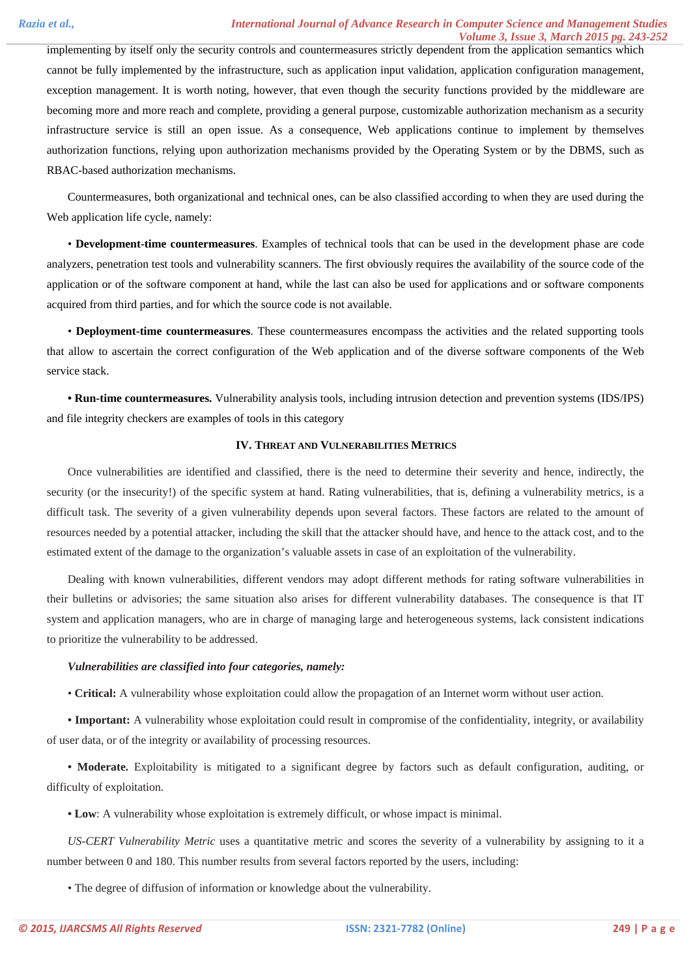implementing by itself only the security controls and countermeasures strictly dependent from the application semantics which cannot be fully implemented by the infrastructure, such as application input validation, application configuration management, exception management. It is worth noting, however, that even though the security functions provided by the middleware are becoming more and more reach and complete, providing a general purpose, customizable authorization mechanism as a security infrastructure service is still an open issue. As a consequence, Web applications continue to implement by themselves authorization functions, relying upon authorization mechanisms provided by the Operating System or by the DBMS, such as RBAC-based authorization mechanisms.

Countermeasures, both organizational and technical ones, can be also classified according to when they are used during the Web application life cycle, namely:

*•* **Development-time countermeasures**. Examples of technical tools that can be used in the development phase are code analyzers, penetration test tools and vulnerability scanners. The first obviously requires the availability of the source code of the application or of the software component at hand, while the last can also be used for applications and or software components acquired from third parties, and for which the source code is not available.

*•* **Deployment-time countermeasures**. These countermeasures encompass the activities and the related supporting tools that allow to ascertain the correct configuration of the Web application and of the diverse software components of the Web service stack.

*•* **Run-time countermeasures.** Vulnerability analysis tools, including intrusion detection and prevention systems (IDS/IPS) and file integrity checkers are examples of tools in this category

## **IV. THREAT AND VULNERABILITIES METRICS**

Once vulnerabilities are identified and classified, there is the need to determine their severity and hence, indirectly, the security (or the insecurity!) of the specific system at hand. Rating vulnerabilities, that is, defining a vulnerability metrics, is a difficult task. The severity of a given vulnerability depends upon several factors. These factors are related to the amount of resources needed by a potential attacker, including the skill that the attacker should have, and hence to the attack cost, and to the estimated extent of the damage to the organization's valuable assets in case of an exploitation of the vulnerability.

Dealing with known vulnerabilities, different vendors may adopt different methods for rating software vulnerabilities in their bulletins or advisories; the same situation also arises for different vulnerability databases. The consequence is that IT system and application managers, who are in charge of managing large and heterogeneous systems, lack consistent indications to prioritize the vulnerability to be addressed.

## *Vulnerabilities are classified into four categories, namely:*

*•* **Critical:** A vulnerability whose exploitation could allow the propagation of an Internet worm without user action.

• **Important:** A vulnerability whose exploitation could result in compromise of the confidentiality, integrity, or availability of user data, or of the integrity or availability of processing resources.

• **Moderate.** Exploitability is mitigated to a significant degree by factors such as default configuration, auditing, or difficulty of exploitation.

*•* **Low**: A vulnerability whose exploitation is extremely difficult, or whose impact is minimal.

*US-CERT Vulnerability Metric* uses a quantitative metric and scores the severity of a vulnerability by assigning to it a number between 0 and 180. This number results from several factors reported by the users, including:

*•* The degree of diffusion of information or knowledge about the vulnerability.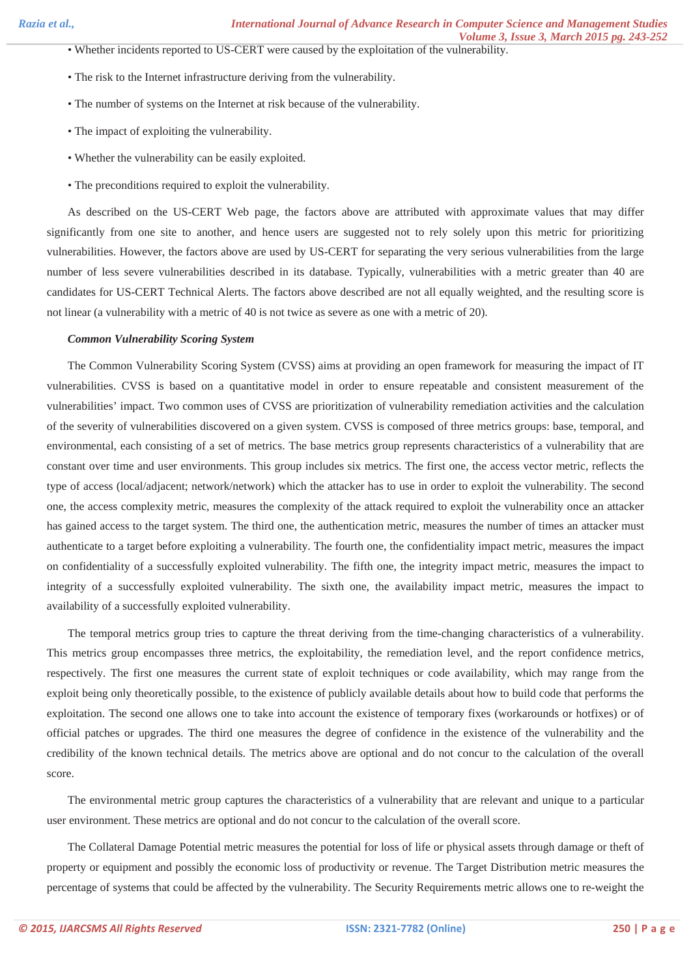- Whether incidents reported to US-CERT were caused by the exploitation of the vulnerability.
- The risk to the Internet infrastructure deriving from the vulnerability.
- The number of systems on the Internet at risk because of the vulnerability.
- The impact of exploiting the vulnerability.
- Whether the vulnerability can be easily exploited.
- The preconditions required to exploit the vulnerability.

As described on the US-CERT Web page, the factors above are attributed with approximate values that may differ significantly from one site to another, and hence users are suggested not to rely solely upon this metric for prioritizing vulnerabilities. However, the factors above are used by US-CERT for separating the very serious vulnerabilities from the large number of less severe vulnerabilities described in its database. Typically, vulnerabilities with a metric greater than 40 are candidates for US-CERT Technical Alerts. The factors above described are not all equally weighted, and the resulting score is not linear (a vulnerability with a metric of 40 is not twice as severe as one with a metric of 20).

## *Common Vulnerability Scoring System*

The Common Vulnerability Scoring System (CVSS) aims at providing an open framework for measuring the impact of IT vulnerabilities. CVSS is based on a quantitative model in order to ensure repeatable and consistent measurement of the vulnerabilities' impact. Two common uses of CVSS are prioritization of vulnerability remediation activities and the calculation of the severity of vulnerabilities discovered on a given system. CVSS is composed of three metrics groups: base, temporal, and environmental, each consisting of a set of metrics. The base metrics group represents characteristics of a vulnerability that are constant over time and user environments. This group includes six metrics. The first one, the access vector metric, reflects the type of access (local/adjacent; network/network) which the attacker has to use in order to exploit the vulnerability. The second one, the access complexity metric, measures the complexity of the attack required to exploit the vulnerability once an attacker has gained access to the target system. The third one, the authentication metric, measures the number of times an attacker must authenticate to a target before exploiting a vulnerability. The fourth one, the confidentiality impact metric, measures the impact on confidentiality of a successfully exploited vulnerability. The fifth one, the integrity impact metric, measures the impact to integrity of a successfully exploited vulnerability. The sixth one, the availability impact metric, measures the impact to availability of a successfully exploited vulnerability.

The temporal metrics group tries to capture the threat deriving from the time-changing characteristics of a vulnerability. This metrics group encompasses three metrics, the exploitability, the remediation level, and the report confidence metrics, respectively. The first one measures the current state of exploit techniques or code availability, which may range from the exploit being only theoretically possible, to the existence of publicly available details about how to build code that performs the exploitation. The second one allows one to take into account the existence of temporary fixes (workarounds or hotfixes) or of official patches or upgrades. The third one measures the degree of confidence in the existence of the vulnerability and the credibility of the known technical details. The metrics above are optional and do not concur to the calculation of the overall score.

The environmental metric group captures the characteristics of a vulnerability that are relevant and unique to a particular user environment. These metrics are optional and do not concur to the calculation of the overall score.

The Collateral Damage Potential metric measures the potential for loss of life or physical assets through damage or theft of property or equipment and possibly the economic loss of productivity or revenue. The Target Distribution metric measures the percentage of systems that could be affected by the vulnerability. The Security Requirements metric allows one to re-weight the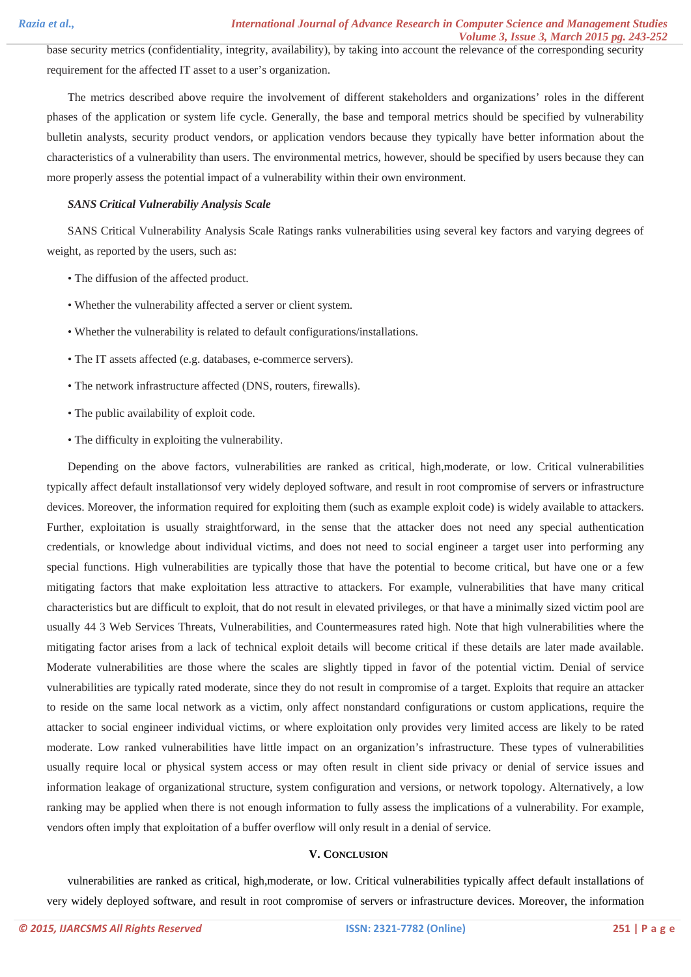base security metrics (confidentiality, integrity, availability), by taking into account the relevance of the corresponding security requirement for the affected IT asset to a user's organization.

The metrics described above require the involvement of different stakeholders and organizations' roles in the different phases of the application or system life cycle. Generally, the base and temporal metrics should be specified by vulnerability bulletin analysts, security product vendors, or application vendors because they typically have better information about the characteristics of a vulnerability than users. The environmental metrics, however, should be specified by users because they can more properly assess the potential impact of a vulnerability within their own environment.

## *SANS Critical Vulnerabiliy Analysis Scale*

SANS Critical Vulnerability Analysis Scale Ratings ranks vulnerabilities using several key factors and varying degrees of weight, as reported by the users, such as:

- The diffusion of the affected product.
- Whether the vulnerability affected a server or client system.
- Whether the vulnerability is related to default configurations/installations.
- The IT assets affected (e.g. databases, e-commerce servers).
- The network infrastructure affected (DNS, routers, firewalls).
- The public availability of exploit code.
- The difficulty in exploiting the vulnerability.

Depending on the above factors, vulnerabilities are ranked as critical, high,moderate, or low. Critical vulnerabilities typically affect default installationsof very widely deployed software, and result in root compromise of servers or infrastructure devices. Moreover, the information required for exploiting them (such as example exploit code) is widely available to attackers. Further, exploitation is usually straightforward, in the sense that the attacker does not need any special authentication credentials, or knowledge about individual victims, and does not need to social engineer a target user into performing any special functions. High vulnerabilities are typically those that have the potential to become critical, but have one or a few mitigating factors that make exploitation less attractive to attackers. For example, vulnerabilities that have many critical characteristics but are difficult to exploit, that do not result in elevated privileges, or that have a minimally sized victim pool are usually 44 3 Web Services Threats, Vulnerabilities, and Countermeasures rated high. Note that high vulnerabilities where the mitigating factor arises from a lack of technical exploit details will become critical if these details are later made available. Moderate vulnerabilities are those where the scales are slightly tipped in favor of the potential victim. Denial of service vulnerabilities are typically rated moderate, since they do not result in compromise of a target. Exploits that require an attacker to reside on the same local network as a victim, only affect nonstandard configurations or custom applications, require the attacker to social engineer individual victims, or where exploitation only provides very limited access are likely to be rated moderate. Low ranked vulnerabilities have little impact on an organization's infrastructure. These types of vulnerabilities usually require local or physical system access or may often result in client side privacy or denial of service issues and information leakage of organizational structure, system configuration and versions, or network topology. Alternatively, a low ranking may be applied when there is not enough information to fully assess the implications of a vulnerability. For example, vendors often imply that exploitation of a buffer overflow will only result in a denial of service.

#### **V. CONCLUSION**

vulnerabilities are ranked as critical, high,moderate, or low. Critical vulnerabilities typically affect default installations of very widely deployed software, and result in root compromise of servers or infrastructure devices. Moreover, the information